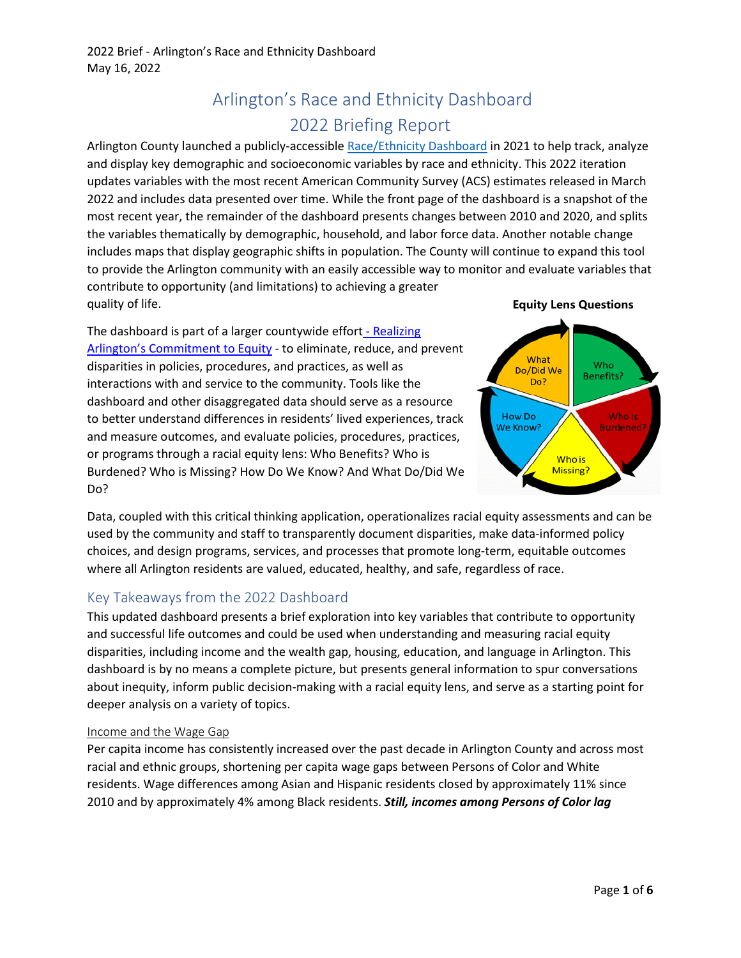# Arlington's Race and Ethnicity Dashboard 2022 Briefing Report

Arlington County launched a publicly-accessible [Race/Ethnicity](https://app.powerbi.com/view?r=eyJrIjoiMjMzMWZlYjUtMTY1MC00Y2ZmLTgxMjctNjczN2FjNDY2ZGJkIiwidCI6IjgwMzU0ODA0LTFmZGYtNDI4ZS05ZjVmLTUwOTFlOTk0Y2Y1NCIsImMiOjF9) Dashboard in 2021 to help track, analyze and display key demographic and socioeconomic variables by race and ethnicity. This 2022 iteration updates variables with the most recent American Community Survey (ACS) estimates released in March 2022 and includes data presented over time. While the front page of the dashboard is a snapshot of the most recent year, the remainder of the dashboard presents changes between 2010 and 2020, and splits the variables thematically by demographic, household, and labor force data. Another notable change includes maps that display geographic shifts in population. The County will continue to expand this tool to provide the Arlington community with an easily accessible way to monitor and evaluate variables that contribute to opportunity (and limitations) to achieving a greater quality of life. **Equity Lens Questions**

The dashboard is part of a larger countywide effor[t - Realizing](https://www.arlingtonva.us/Government/Topics/Equity?msclkid=dadaa701d13011eca29492a3b076ca2b)  [Arlington's Commitment to Equity](https://www.arlingtonva.us/Government/Topics/Equity?msclkid=dadaa701d13011eca29492a3b076ca2b) - to eliminate, reduce, and prevent disparities in policies, procedures, and practices, as well as interactions with and service to the community. Tools like the dashboard and other disaggregated data should serve as a resource to better understand differences in residents' lived experiences, track and measure outcomes, and evaluate policies, procedures, practices, or programs through a racial equity lens: Who Benefits? Who is Burdened? Who is Missing? How Do We Know? And What Do/Did We Do?



Data, coupled with this critical thinking application, operationalizes racial equity assessments and can be used by the community and staff to transparently document disparities, make data-informed policy choices, and design programs, services, and processes that promote long-term, equitable outcomes where all Arlington residents are valued, educated, healthy, and safe, regardless of race.

## Key Takeaways from the 2022 Dashboard

This updated dashboard presents a brief exploration into key variables that contribute to opportunity and successful life outcomes and could be used when understanding and measuring racial equity disparities, including income and the wealth gap, housing, education, and language in Arlington. This dashboard is by no means a complete picture, but presents general information to spur conversations about inequity, inform public decision-making with a racial equity lens, and serve as a starting point for deeper analysis on a variety of topics.

## Income and the Wage Gap

Per capita income has consistently increased over the past decade in Arlington County and across most racial and ethnic groups, shortening per capita wage gaps between Persons of Color and White residents. Wage differences among Asian and Hispanic residents closed by approximately 11% since 2010 and by approximately 4% among Black residents. *Still, incomes among Persons of Color lag*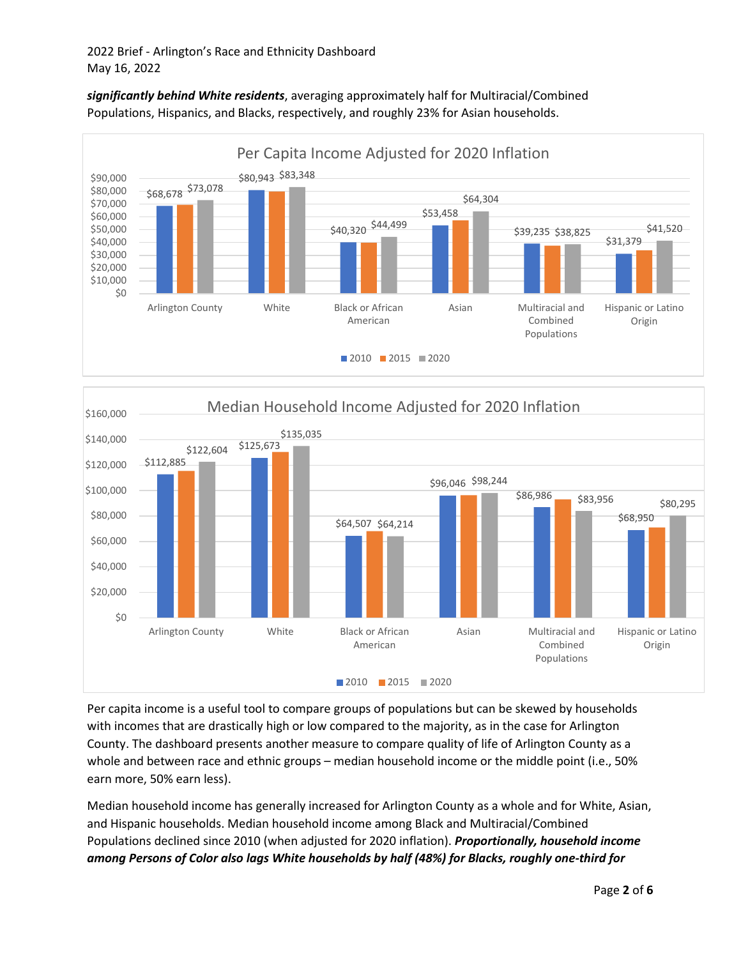





Per capita income is a useful tool to compare groups of populations but can be skewed by households with incomes that are drastically high or low compared to the majority, as in the case for Arlington County. The dashboard presents another measure to compare quality of life of Arlington County as a whole and between race and ethnic groups – median household income or the middle point (i.e., 50% earn more, 50% earn less).

Median household income has generally increased for Arlington County as a whole and for White, Asian, and Hispanic households. Median household income among Black and Multiracial/Combined Populations declined since 2010 (when adjusted for 2020 inflation). *Proportionally, household income among Persons of Color also lags White households by half (48%) for Blacks, roughly one-third for*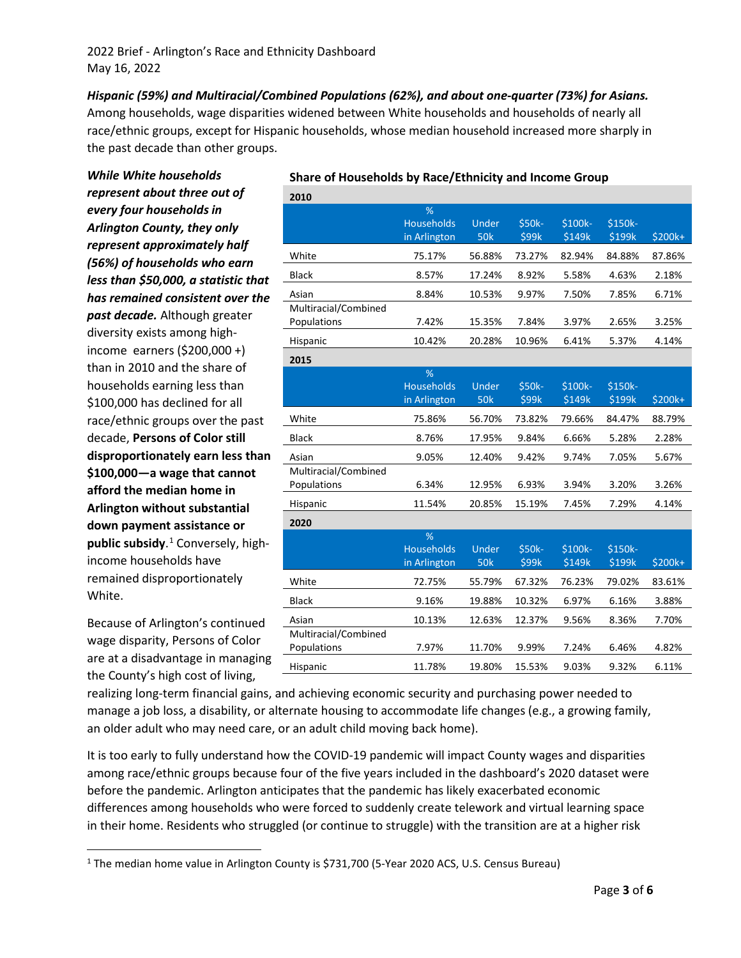*Hispanic (59%) and Multiracial/Combined Populations (62%), and about one-quarter (73%) for Asians.* Among households, wage disparities widened between White households and households of nearly all race/ethnic groups, except for Hispanic households, whose median household increased more sharply in the past decade than other groups.

*While White households represent about three out of every four households in Arlington County, they only represent approximately half (56%) of households who earn less than \$50,000, a statistic that has remained consistent over the past decade.* Although greater diversity exists among highincome earners (\$200,000 +) than in 2010 and the share of households earning less than \$100,000 has declined for all race/ethnic groups over the past decade, **Persons of Color still disproportionately earn less than \$100,000—a wage that cannot afford the median home in Arlington without substantial down payment assistance or public subsidy**. [1](#page-2-0) Conversely, highincome households have remained disproportionately White.

Because of Arlington's continued wage disparity, Persons of Color are at a disadvantage in managing the County's high cost of living,

|  | Share of Households by Race/Ethnicity and Income Group |
|--|--------------------------------------------------------|
|--|--------------------------------------------------------|

| 2010                                |                                        |                     |                        |                   |                          |         |
|-------------------------------------|----------------------------------------|---------------------|------------------------|-------------------|--------------------------|---------|
|                                     | %<br><b>Households</b><br>in Arlington | Under<br><b>50k</b> | \$50k-<br>\$99k        | \$100k-<br>\$149k | \$150k-<br>\$199k        | \$200k+ |
| White                               | 75.17%                                 | 56.88%              | 73.27%                 | 82.94%            | 84.88%                   | 87.86%  |
| <b>Black</b>                        | 8.57%                                  | 17.24%              | 8.92%                  | 5.58%             | 4.63%                    | 2.18%   |
| Asian                               | 8.84%                                  | 10.53%              | 9.97%                  | 7.50%             | 7.85%                    | 6.71%   |
| Multiracial/Combined<br>Populations | 7.42%                                  | 15.35%              | 7.84%                  | 3.97%             | 2.65%                    | 3.25%   |
| Hispanic                            | 10.42%                                 | 20.28%              | 10.96%                 | 6.41%             | 5.37%                    | 4.14%   |
| 2015                                |                                        |                     |                        |                   |                          |         |
|                                     | %<br><b>Households</b><br>in Arlington | Under<br><b>50k</b> | \$50k-<br>\$99k        | \$100k-<br>\$149k | \$150k-<br>\$199k        | \$200k+ |
| White                               | 75.86%                                 | 56.70%              | 73.82%                 | 79.66%            | 84.47%                   | 88.79%  |
| <b>Black</b>                        | 8.76%                                  | 17.95%              | 9.84%                  | 6.66%             | 5.28%                    | 2.28%   |
| Asian                               | 9.05%                                  | 12.40%              | 9.42%                  | 9.74%             | 7.05%                    | 5.67%   |
| Multiracial/Combined<br>Populations | 6.34%                                  | 12.95%              | 6.93%                  | 3.94%             | 3.20%                    | 3.26%   |
| Hispanic                            | 11.54%                                 | 20.85%              | 15.19%                 | 7.45%             | 7.29%                    | 4.14%   |
| 2020                                |                                        |                     |                        |                   |                          |         |
|                                     | %<br><b>Households</b><br>in Arlington | Under<br><b>50k</b> | <b>\$50k-</b><br>\$99k | \$100k-<br>\$149k | <b>\$150k-</b><br>\$199k | \$200k+ |
| White                               | 72.75%                                 | 55.79%              | 67.32%                 | 76.23%            | 79.02%                   | 83.61%  |
| <b>Black</b>                        | 9.16%                                  | 19.88%              | 10.32%                 | 6.97%             | 6.16%                    | 3.88%   |
| Asian                               | 10.13%                                 | 12.63%              | 12.37%                 | 9.56%             | 8.36%                    | 7.70%   |
| Multiracial/Combined<br>Populations | 7.97%                                  | 11.70%              | 9.99%                  | 7.24%             | 6.46%                    | 4.82%   |
| Hispanic                            | 11.78%                                 | 19.80%              | 15.53%                 | 9.03%             | 9.32%                    | 6.11%   |

realizing long-term financial gains, and achieving economic security and purchasing power needed to manage a job loss, a disability, or alternate housing to accommodate life changes (e.g., a growing family, an older adult who may need care, or an adult child moving back home).

It is too early to fully understand how the COVID-19 pandemic will impact County wages and disparities among race/ethnic groups because four of the five years included in the dashboard's 2020 dataset were before the pandemic. Arlington anticipates that the pandemic has likely exacerbated economic differences among households who were forced to suddenly create telework and virtual learning space in their home. Residents who struggled (or continue to struggle) with the transition are at a higher risk

<span id="page-2-0"></span><sup>&</sup>lt;sup>1</sup> The median home value in Arlington County is \$731,700 (5-Year 2020 ACS, U.S. Census Bureau)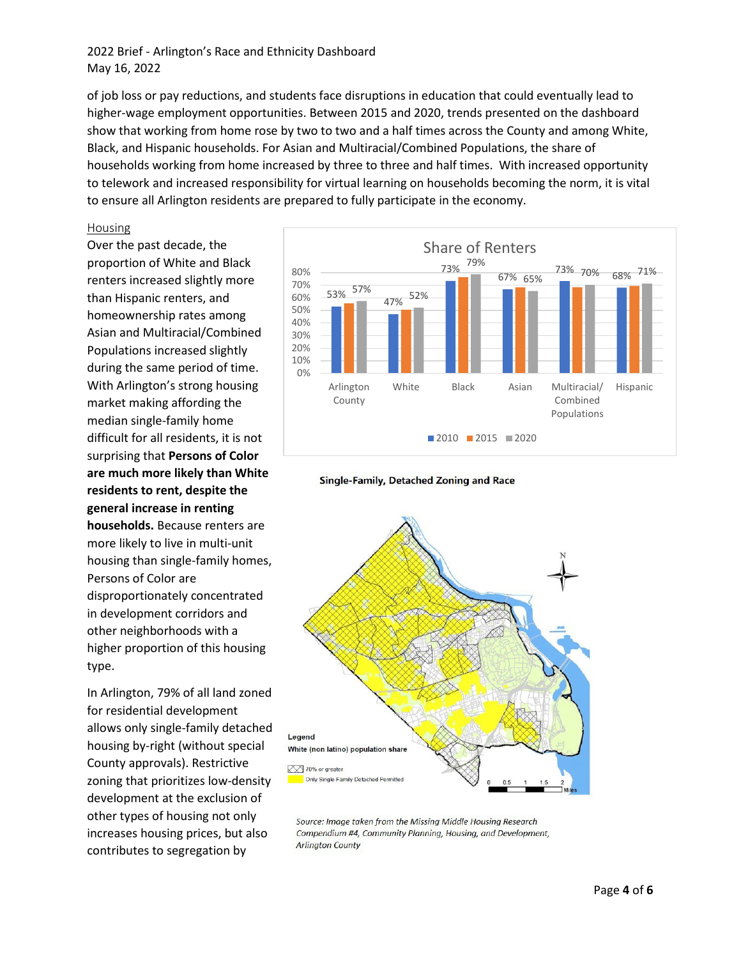## 2022 Brief - Arlington's Race and Ethnicity Dashboard May 16, 2022

of job loss or pay reductions, and students face disruptions in education that could eventually lead to higher-wage employment opportunities. Between 2015 and 2020, trends presented on the dashboard show that working from home rose by two to two and a half times across the County and among White, Black, and Hispanic households. For Asian and Multiracial/Combined Populations, the share of households working from home increased by three to three and half times. With increased opportunity to telework and increased responsibility for virtual learning on households becoming the norm, it is vital to ensure all Arlington residents are prepared to fully participate in the economy.

#### Housing

Over the past decade, the proportion of White and Black renters increased slightly more than Hispanic renters, and homeownership rates among Asian and Multiracial/Combined Populations increased slightly during the same period of time. With Arlington's strong housing market making affording the median single-family home difficult for all residents, it is not surprising that **Persons of Color are much more likely than White residents to rent, despite the general increase in renting households.** Because renters are more likely to live in multi-unit housing than single-family homes, Persons of Color are disproportionately concentrated in development corridors and other neighborhoods with a higher proportion of this housing type.

In Arlington, 79% of all land zoned for residential development allows only single-family detached housing by-right (without special County approvals). Restrictive zoning that prioritizes low-density development at the exclusion of other types of housing not only increases housing prices, but also contributes to segregation by







Source: Image taken from the Missing Middle Housing Research Compendium #4, Community Planning, Housing, and Development, **Arlington County**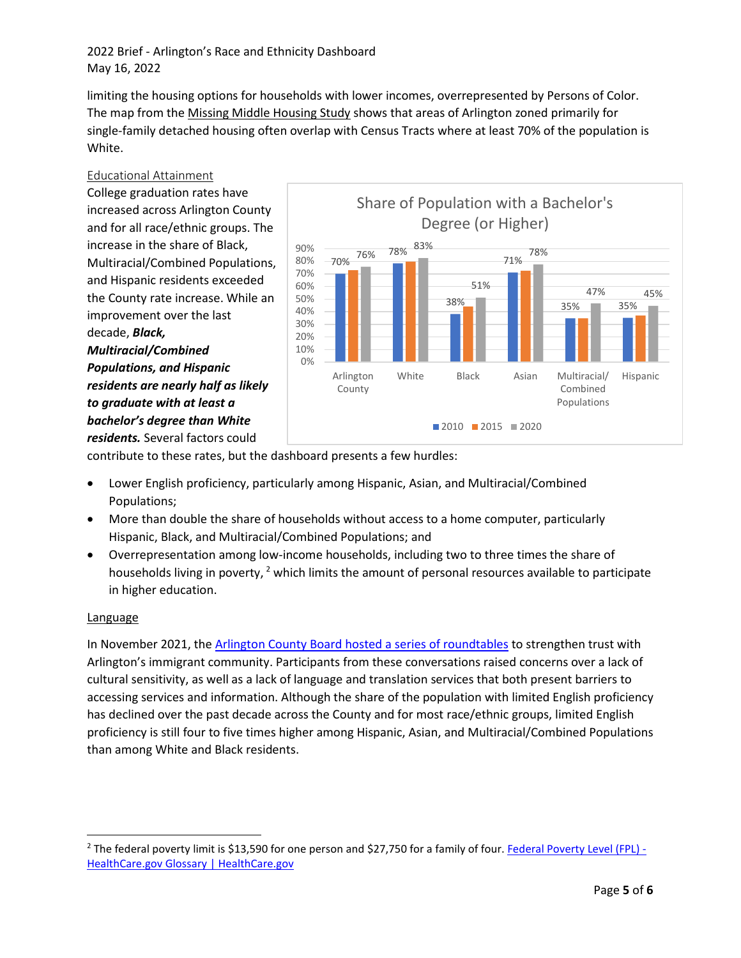2022 Brief - Arlington's Race and Ethnicity Dashboard May 16, 2022

limiting the housing options for households with lower incomes, overrepresented by Persons of Color. The map from the [Missing Middle Housing Study](https://arlingtonva.s3.amazonaws.com/wp-content/uploads/sites/15/2020/08/MMHS_ResearchCompendium_Bulletin4_final.pdf) shows that areas of Arlington zoned primarily for single-family detached housing often overlap with Census Tracts where at least 70% of the population is White.

Educational Attainment

College graduation rates have increased across Arlington County and for all race/ethnic groups. The increase in the share of Black, Multiracial/Combined Populations, and Hispanic residents exceeded the County rate increase. While an improvement over the last decade, *Black, Multiracial/Combined Populations, and Hispanic residents are nearly half as likely to graduate with at least a bachelor's degree than White residents.* Several factors could



contribute to these rates, but the dashboard presents a few hurdles:

- Lower English proficiency, particularly among Hispanic, Asian, and Multiracial/Combined Populations;
- More than double the share of households without access to a home computer, particularly Hispanic, Black, and Multiracial/Combined Populations; and
- Overrepresentation among low-income households, including two to three times the share of households living in poverty,  $2$  which limits the amount of personal resources available to participate in higher education.

### **Language**

In November 2021, th[e Arlington County Board hosted a series of roundtables](https://www.arlingtonva.us/files/sharedassets/public/county-board/documents/trust-docs/cb.trustconversations.summary.11.30.21.pdf) to strengthen trust with Arlington's immigrant community. Participants from these conversations raised concerns over a lack of cultural sensitivity, as well as a lack of language and translation services that both present barriers to accessing services and information. Although the share of the population with limited English proficiency has declined over the past decade across the County and for most race/ethnic groups, limited English proficiency is still four to five times higher among Hispanic, Asian, and Multiracial/Combined Populations than among White and Black residents.

<span id="page-4-0"></span><sup>&</sup>lt;sup>2</sup> The federal poverty limit is \$13,590 for one person and \$27,750 for a family of four. Federal Poverty Level (FPL) -[HealthCare.gov Glossary | HealthCare.gov](https://www.healthcare.gov/glossary/federal-poverty-level-fpl/)